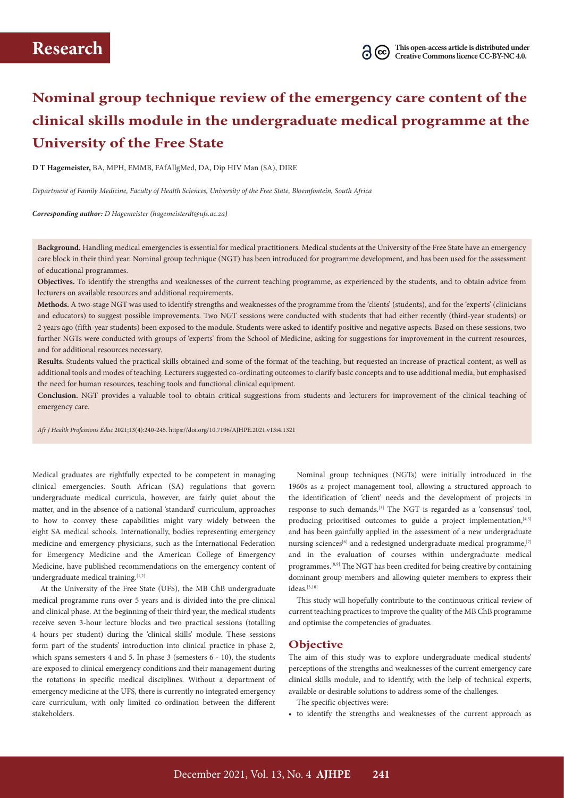# **Nominal group technique review of the emergency care content of the clinical skills module in the undergraduate medical programme at the University of the Free State**

**D T Hagemeister,** BA, MPH, EMMB, FAfAllgMed, DA, Dip HIV Man (SA), DIRE

*Department of Family Medicine, Faculty of Health Sciences, University of the Free State, Bloemfontein, South Africa*

*Corresponding author: D Hagemeister [\(hagemeisterdt@ufs.ac.za](mailto:hagemeisterdt@ufs.ac.za))*

**Background.** Handling medical emergencies is essential for medical practitioners. Medical students at the University of the Free State have an emergency care block in their third year. Nominal group technique (NGT) has been introduced for programme development, and has been used for the assessment of educational programmes.

**Objectives.** To identify the strengths and weaknesses of the current teaching programme, as experienced by the students, and to obtain advice from lecturers on available resources and additional requirements.

**Methods.** A two-stage NGT was used to identify strengths and weaknesses of the programme from the 'clients' (students), and for the 'experts' (clinicians and educators) to suggest possible improvements. Two NGT sessions were conducted with students that had either recently (third-year students) or 2 years ago (fifth-year students) been exposed to the module. Students were asked to identify positive and negative aspects. Based on these sessions, two further NGTs were conducted with groups of 'experts' from the School of Medicine, asking for suggestions for improvement in the current resources, and for additional resources necessary.

**Results.** Students valued the practical skills obtained and some of the format of the teaching, but requested an increase of practical content, as well as additional tools and modes of teaching. Lecturers suggested co-ordinating outcomes to clarify basic concepts and to use additional media, but emphasised the need for human resources, teaching tools and functional clinical equipment.

**Conclusion.** NGT provides a valuable tool to obtain critical suggestions from students and lecturers for improvement of the clinical teaching of emergency care.

*Afr J Health Professions Educ* 2021;13(4):240-245.<https://doi.org/10.7196/AJHPE.2021>.v13i4.1321

Medical graduates are rightfully expected to be competent in managing clinical emergencies. South African (SA) regulations that govern undergraduate medical curricula, however, are fairly quiet about the matter, and in the absence of a national 'standard' curriculum, approaches to how to convey these capabilities might vary widely between the eight SA medical schools. Internationally, bodies representing emergency medicine and emergency physicians, such as the International Federation for Emergency Medicine and the American College of Emergency Medicine, have published recommendations on the emergency content of undergraduate medical training.<sup>[1,2]</sup>

At the University of the Free State (UFS), the MB ChB undergraduate medical programme runs over 5 years and is divided into the pre-clinical and clinical phase. At the beginning of their third year, the medical students receive seven 3-hour lecture blocks and two practical sessions (totalling 4 hours per student) during the 'clinical skills' module. These sessions form part of the students' introduction into clinical practice in phase 2, which spans semesters 4 and 5. In phase 3 (semesters 6 - 10), the students are exposed to clinical emergency conditions and their management during the rotations in specific medical disciplines. Without a department of emergency medicine at the UFS, there is currently no integrated emergency care curriculum, with only limited co-ordination between the different stakeholders.

Nominal group techniques (NGTs) were initially introduced in the 1960s as a project management tool, allowing a structured approach to the identification of 'client' needs and the development of projects in response to such demands.[3] The NGT is regarded as a 'consensus' tool, producing prioritised outcomes to guide a project implementation, [4,5] and has been gainfully applied in the assessment of a new undergraduate nursing sciences<sup>[6]</sup> and a redesigned undergraduate medical programme,<sup>[7]</sup> and in the evaluation of courses within undergraduate medical programmes.[8,9] The NGT has been credited for being creative by containing dominant group members and allowing quieter members to express their  $i$ deas.<sup>[3,10]</sup>

This study will hopefully contribute to the continuous critical review of current teaching practices to improve the quality of the MB ChB programme and optimise the competencies of graduates.

## **Objective**

The aim of this study was to explore undergraduate medical students' perceptions of the strengths and weaknesses of the current emergency care clinical skills module, and to identify, with the help of technical experts, available or desirable solutions to address some of the challenges.

The specific objectives were:

• to identify the strengths and weaknesses of the current approach as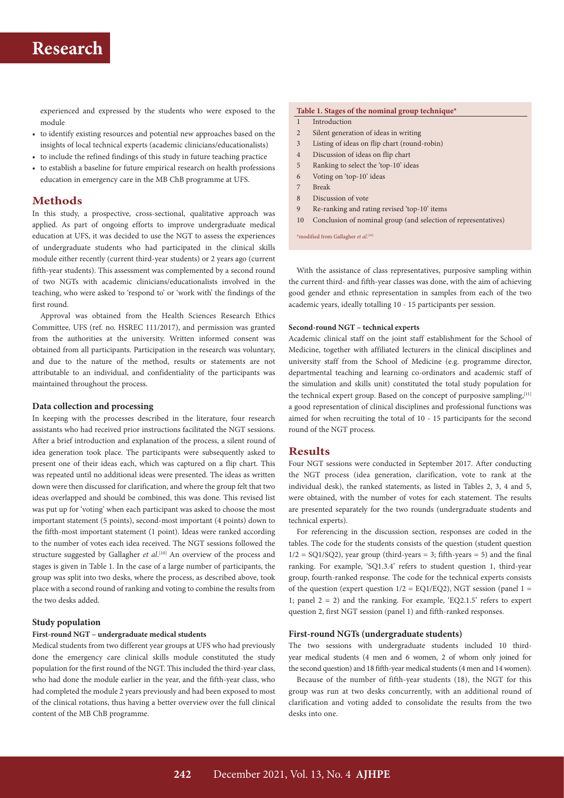# **Research**

experienced and expressed by the students who were exposed to the module

- to identify existing resources and potential new approaches based on the insights of local technical experts (academic clinicians/educationalists)
- to include the refined findings of this study in future teaching practice
- to establish a baseline for future empirical research on health professions education in emergency care in the MB ChB programme at UFS.

## **Methods**

In this study, a prospective, cross-sectional, qualitative approach was applied. As part of ongoing efforts to improve undergraduate medical education at UFS, it was decided to use the NGT to assess the experiences of undergraduate students who had participated in the clinical skills module either recently (current third-year students) or 2 years ago (current fifth-year students). This assessment was complemented by a second round of two NGTs with academic clinicians/educationalists involved in the teaching, who were asked to 'respond to' or 'work with' the findings of the first round.

Approval was obtained from the Health Sciences Research Ethics Committee, UFS (ref. no. HSREC 111/2017), and permission was granted from the authorities at the university. Written informed consent was obtained from all participants. Participation in the research was voluntary, and due to the nature of the method, results or statements are not attributable to an individual, and confidentiality of the participants was maintained throughout the process.

#### **Data collection and processing**

In keeping with the processes described in the literature, four research assistants who had received prior instructions facilitated the NGT sessions. After a brief introduction and explanation of the process, a silent round of idea generation took place. The participants were subsequently asked to present one of their ideas each, which was captured on a flip chart. This was repeated until no additional ideas were presented. The ideas as written down were then discussed for clarification, and where the group felt that two ideas overlapped and should be combined, this was done. This revised list was put up for 'voting' when each participant was asked to choose the most important statement (5 points), second-most important (4 points) down to the fifth-most important statement (1 point). Ideas were ranked according to the number of votes each idea received. The NGT sessions followed the structure suggested by Gallagher *et al.*<sup>[10]</sup> An overview of the process and stages is given in Table 1. In the case of a large number of participants, the group was split into two desks, where the process, as described above, took place with a second round of ranking and voting to combine the results from the two desks added.

## **Study population**

#### **First-round NGT – undergraduate medical students**

Medical students from two different year groups at UFS who had previously done the emergency care clinical skills module constituted the study population for the first round of the NGT. This included the third-year class, who had done the module earlier in the year, and the fifth-year class, who had completed the module 2 years previously and had been exposed to most of the clinical rotations, thus having a better overview over the full clinical content of the MB ChB programme.

#### **Table 1. Stages of the nominal group technique\***

- 1 Introduction
- 2 Silent generation of ideas in writing
- 3 Listing of ideas on flip chart (round-robin)
- 4 Discussion of ideas on flip chart
- 5 Ranking to select the 'top-10' ideas
- 6 Voting on 'top-10' ideas
- 7 Break
- 8 Discussion of vote
- 9 Re-ranking and rating revised 'top-10' items
- 10 Conclusion of nominal group (and selection of representatives)

\*modified from Gallagher *et al*. [10]

With the assistance of class representatives, purposive sampling within the current third- and fifth-year classes was done, with the aim of achieving good gender and ethnic representation in samples from each of the two academic years, ideally totalling 10 - 15 participants per session.

#### **Second-round NGT – technical experts**

Academic clinical staff on the joint staff establishment for the School of Medicine, together with affiliated lecturers in the clinical disciplines and university staff from the School of Medicine (e.g. programme director, departmental teaching and learning co-ordinators and academic staff of the simulation and skills unit) constituted the total study population for the technical expert group. Based on the concept of purposive sampling, [11] a good representation of clinical disciplines and professional functions was aimed for when recruiting the total of 10 - 15 participants for the second round of the NGT process.

### **Results**

Four NGT sessions were conducted in September 2017. After conducting the NGT process (idea generation, clarification, vote to rank at the individual desk), the ranked statements, as listed in Tables 2, 3, 4 and 5, were obtained, with the number of votes for each statement. The results are presented separately for the two rounds (undergraduate students and technical experts).

For referencing in the discussion section, responses are coded in the tables. The code for the students consists of the question (student question  $1/2 = \text{SQ1/SQ2}$ , year group (third-years = 3; fifth-years = 5) and the final ranking. For example, 'SQ1.3.4' refers to student question 1, third-year group, fourth-ranked response. The code for the technical experts consists of the question (expert question  $1/2 = EQ1/EQ2$ ), NGT session (panel 1 = 1; panel  $2 = 2$ ) and the ranking. For example, 'EQ2.1.5' refers to expert question 2, first NGT session (panel 1) and fifth-ranked responses.

## **First-round NGTs (undergraduate students)**

The two sessions with undergraduate students included 10 thirdyear medical students (4 men and 6 women, 2 of whom only joined for the second question) and 18 fifth-year medical students (4 men and 14 women).

Because of the number of fifth-year students (18), the NGT for this group was run at two desks concurrently, with an additional round of clarification and voting added to consolidate the results from the two desks into one.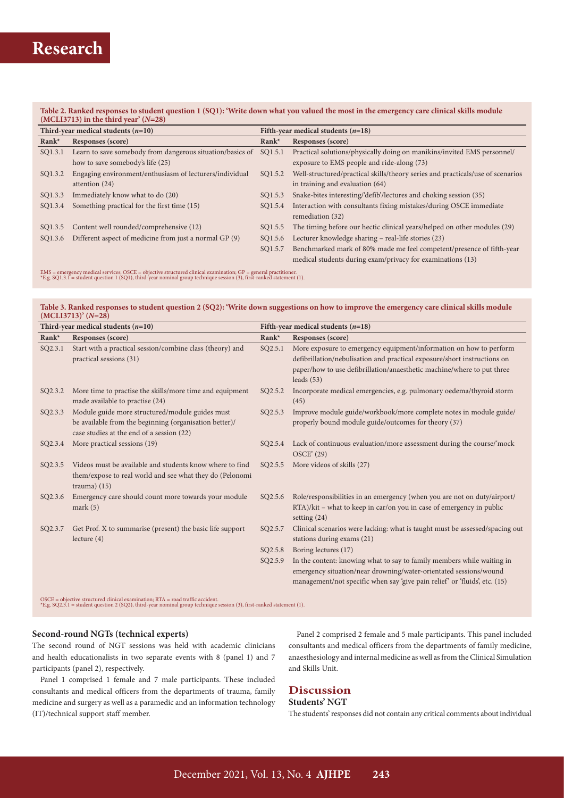## **Table 2. Ranked responses to student question 1 (SQ1): 'Write down what you valued the most in the emergency care clinical skills module (MCLI3713) in the third year' (***N***=28)**

| $\frac{1}{2}$                        |                                                           |                                      |                                                                                |  |
|--------------------------------------|-----------------------------------------------------------|--------------------------------------|--------------------------------------------------------------------------------|--|
| Third-year medical students $(n=10)$ |                                                           | Fifth-year medical students $(n=18)$ |                                                                                |  |
| $Rank^*$                             | Responses (score)                                         | $Rank^*$                             | Responses (score)                                                              |  |
| SQ1.3.1                              | Learn to save somebody from dangerous situation/basics of | SQ1.5.1                              | Practical solutions/physically doing on manikins/invited EMS personnel/        |  |
|                                      | how to save somebody's life (25)                          |                                      | exposure to EMS people and ride-along (73)                                     |  |
| SQ1.3.2                              | Engaging environment/enthusiasm of lecturers/individual   | SQ1.5.2                              | Well-structured/practical skills/theory series and practicals/use of scenarios |  |
|                                      | attention (24)                                            |                                      | in training and evaluation $(64)$                                              |  |
| SQ1.3.3                              | Immediately know what to do (20)                          | SQ1.5.3                              | Snake-bites interesting/'defib'/lectures and choking session (35)              |  |
| SQ1.3.4                              | Something practical for the first time (15)               | SO1.5.4                              | Interaction with consultants fixing mistakes/during OSCE immediate             |  |
|                                      |                                                           |                                      | remediation (32)                                                               |  |
| SQ1.3.5                              | Content well rounded/comprehensive (12)                   | SQ1.5.5                              | The timing before our hectic clinical years/helped on other modules (29)       |  |
| SQ1.3.6                              | Different aspect of medicine from just a normal GP (9)    | SQ1.5.6                              | Lecturer knowledge sharing – real-life stories (23)                            |  |
|                                      |                                                           | SQ1.5.7                              | Benchmarked mark of 80% made me feel competent/presence of fifth-year          |  |
|                                      |                                                           |                                      | medical students during exam/privacy for examinations (13)                     |  |

EMS = emergency medical services; OSCE = objective structured clinical examination; GP = general practitioner.<br>\*E.g. SQ1.3.1 = student question 1 (SQ1), third-year nominal group technique session (3), first-ranked statemen

**Research**

#### **Table 3. Ranked responses to student question 2 (SQ2): 'Write down suggestions on how to improve the emergency care clinical skills module (MCLI3713)' (***N***=28)**

| Third-year medical students $(n=10)$ |                                                                                                                                                        | Fifth-year medical students $(n=18)$ |                                                                                                                                                                                                                                          |
|--------------------------------------|--------------------------------------------------------------------------------------------------------------------------------------------------------|--------------------------------------|------------------------------------------------------------------------------------------------------------------------------------------------------------------------------------------------------------------------------------------|
| Rank*                                | Responses (score)                                                                                                                                      | Rank*                                | Responses (score)                                                                                                                                                                                                                        |
| SQ2.3.1                              | Start with a practical session/combine class (theory) and<br>practical sessions (31)                                                                   | SQ2.5.1                              | More exposure to emergency equipment/information on how to perform<br>defibrillation/nebulisation and practical exposure/short instructions on<br>paper/how to use defibrillation/anaesthetic machine/where to put three<br>leads $(53)$ |
| SQ2.3.2                              | More time to practise the skills/more time and equipment<br>made available to practise (24)                                                            | SQ2.5.2                              | Incorporate medical emergencies, e.g. pulmonary oedema/thyroid storm<br>(45)                                                                                                                                                             |
| SQ2.3.3                              | Module guide more structured/module guides must<br>be available from the beginning (organisation better)/<br>case studies at the end of a session (22) | SQ2.5.3                              | Improve module guide/workbook/more complete notes in module guide/<br>properly bound module guide/outcomes for theory (37)                                                                                                               |
| SQ2.3.4                              | More practical sessions (19)                                                                                                                           | SQ2.5.4                              | Lack of continuous evaluation/more assessment during the course/'mock<br><b>OSCE' (29)</b>                                                                                                                                               |
| SQ2.3.5                              | Videos must be available and students know where to find<br>them/expose to real world and see what they do (Pelonomi<br>trauma) $(15)$                 | SQ2.5.5                              | More videos of skills (27)                                                                                                                                                                                                               |
| SQ2.3.6                              | Emergency care should count more towards your module<br>mark $(5)$                                                                                     | SQ2.5.6                              | Role/responsibilities in an emergency (when you are not on duty/airport/<br>RTA)/kit - what to keep in car/on you in case of emergency in public<br>setting $(24)$                                                                       |
| SQ2.3.7                              | Get Prof. X to summarise (present) the basic life support<br>lecture $(4)$                                                                             | SQ2.5.7                              | Clinical scenarios were lacking: what is taught must be assessed/spacing out<br>stations during exams (21)                                                                                                                               |
|                                      |                                                                                                                                                        | SQ2.5.8                              | Boring lectures (17)                                                                                                                                                                                                                     |
|                                      |                                                                                                                                                        | SQ2.5.9                              | In the content: knowing what to say to family members while waiting in<br>emergency situation/near drowning/water-orientated sessions/wound<br>management/not specific when say 'give pain relief' or 'fluids', etc. (15)                |

OSCE = objective structured clinical examination; RTA = road traffic accident. \*E.g. SQ2.3.1 = student question 2 (SQ2), third-year nominal group technique session (3), first-ranked statement (1).

## **Second-round NGTs (technical experts)**

The second round of NGT sessions was held with academic clinicians and health educationalists in two separate events with 8 (panel 1) and 7 participants (panel 2), respectively.

Panel 1 comprised 1 female and 7 male participants. These included consultants and medical officers from the departments of trauma, family medicine and surgery as well as a paramedic and an information technology (IT)/technical support staff member.

Panel 2 comprised 2 female and 5 male participants. This panel included consultants and medical officers from the departments of family medicine, anaesthesiology and internal medicine as well as from the Clinical Simulation and Skills Unit.

## **Discussion**

## **Students' NGT**

The students' responses did not contain any critical comments about individual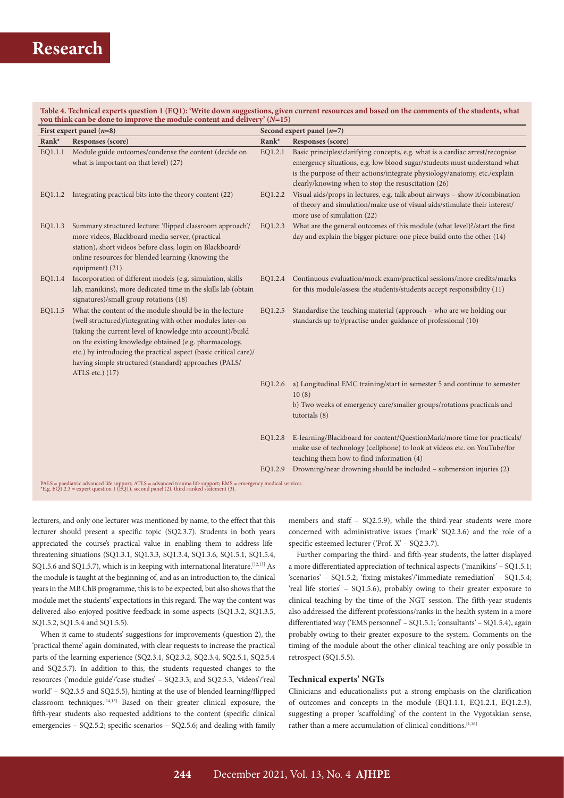## **Research**

#### **Table 4. Technical experts question 1 (EQ1): 'Write down suggestions, given current resources and based on the comments of the students, what you think can be done to improve the module content and delivery' (***N***=15)**

| First expert panel $(n=8)$                                                                                                                                                                             |                                                                                                                                                                                                                                                                                                                                                                                              | Second expert panel $(n=7)$ |                                                                                                                                                                                                                                                                                                |  |
|--------------------------------------------------------------------------------------------------------------------------------------------------------------------------------------------------------|----------------------------------------------------------------------------------------------------------------------------------------------------------------------------------------------------------------------------------------------------------------------------------------------------------------------------------------------------------------------------------------------|-----------------------------|------------------------------------------------------------------------------------------------------------------------------------------------------------------------------------------------------------------------------------------------------------------------------------------------|--|
| Rank*                                                                                                                                                                                                  | Responses (score)                                                                                                                                                                                                                                                                                                                                                                            | Rank*                       | Responses (score)                                                                                                                                                                                                                                                                              |  |
| EQ1.1.1                                                                                                                                                                                                | Module guide outcomes/condense the content (decide on<br>what is important on that level) (27)                                                                                                                                                                                                                                                                                               | EQ1.2.1                     | Basic principles/clarifying concepts, e.g. what is a cardiac arrest/recognise<br>emergency situations, e.g. low blood sugar/students must understand what<br>is the purpose of their actions/integrate physiology/anatomy, etc./explain<br>clearly/knowing when to stop the resuscitation (26) |  |
| EQ1.1.2                                                                                                                                                                                                | Integrating practical bits into the theory content (22)                                                                                                                                                                                                                                                                                                                                      | EQ1.2.2                     | Visual aids/props in lectures, e.g. talk about airways - show it/combination<br>of theory and simulation/make use of visual aids/stimulate their interest/<br>more use of simulation (22)                                                                                                      |  |
| EQ1.1.3                                                                                                                                                                                                | Summary structured lecture: 'flipped classroom approach'/<br>more videos, Blackboard media server, (practical<br>station), short videos before class, login on Blackboard/<br>online resources for blended learning (knowing the<br>equipment) (21)                                                                                                                                          | EQ1.2.3                     | What are the general outcomes of this module (what level)?/start the first<br>day and explain the bigger picture: one piece build onto the other (14)                                                                                                                                          |  |
| EQ1.1.4                                                                                                                                                                                                | Incorporation of different models (e.g. simulation, skills<br>lab, manikins), more dedicated time in the skills lab (obtain<br>signatures)/small group rotations (18)                                                                                                                                                                                                                        | EQ1.2.4                     | Continuous evaluation/mock exam/practical sessions/more credits/marks<br>for this module/assess the students/students accept responsibility (11)                                                                                                                                               |  |
| EQ1.1.5                                                                                                                                                                                                | What the content of the module should be in the lecture<br>(well structured)/integrating with other modules later-on<br>(taking the current level of knowledge into account)/build<br>on the existing knowledge obtained (e.g. pharmacology,<br>etc.) by introducing the practical aspect (basic critical care)/<br>having simple structured (standard) approaches (PALS/<br>ATLS etc.) (17) | EQ1.2.5                     | Standardise the teaching material (approach - who are we holding our<br>standards up to)/practise under guidance of professional (10)                                                                                                                                                          |  |
|                                                                                                                                                                                                        |                                                                                                                                                                                                                                                                                                                                                                                              | EQ1.2.6                     | a) Longitudinal EMC training/start in semester 5 and continue to semester<br>10(8)<br>b) Two weeks of emergency care/smaller groups/rotations practicals and<br>tutorials (8)                                                                                                                  |  |
|                                                                                                                                                                                                        |                                                                                                                                                                                                                                                                                                                                                                                              | EQ1.2.8                     | E-learning/Blackboard for content/QuestionMark/more time for practicals/<br>make use of technology (cellphone) to look at videos etc. on YouTube/for<br>teaching them how to find information (4)                                                                                              |  |
|                                                                                                                                                                                                        |                                                                                                                                                                                                                                                                                                                                                                                              | EQ1.2.9                     | Drowning/near drowning should be included - submersion injuries (2)                                                                                                                                                                                                                            |  |
| PALS = paediatric advanced life support; ATLS = advanced trauma life support; EMS = emergency medical services. *E.g. EQ1.2.3 = expert question 1 (EQ1), second panel (2), third-ranked statement (3). |                                                                                                                                                                                                                                                                                                                                                                                              |                             |                                                                                                                                                                                                                                                                                                |  |

lecturers, and only one lecturer was mentioned by name, to the effect that this lecturer should present a specific topic (SQ2.3.7). Students in both years appreciated the course's practical value in enabling them to address lifethreatening situations (SQ1.3.1, SQ1.3.3, SQ1.3.4, SQ1.3.6, SQ1.5.1, SQ1.5.4, SQ1.5.6 and SQ1.5.7), which is in keeping with international literature.<sup>[12,13]</sup> As the module is taught at the beginning of, and as an introduction to, the clinical years in the MB ChB programme, this is to be expected, but also shows that the module met the students' expectations in this regard. The way the content was delivered also enjoyed positive feedback in some aspects (SQ1.3.2, SQ1.3.5, SQ1.5.2, SQ1.5.4 and SQ1.5.5).

When it came to students' suggestions for improvements (question 2), the 'practical theme' again dominated, with clear requests to increase the practical parts of the learning experience (SQ2.3.1, SQ2.3.2, SQ2.3.4, SQ2.5.1, SQ2.5.4 and SQ2.5.7). In addition to this, the students requested changes to the resources ('module guide'/'case studies' – SQ2.3.3; and SQ2.5.3, 'videos'/'real world' – SQ2.3.5 and SQ2.5.5), hinting at the use of blended learning/flipped classroom techniques.[14,15] Based on their greater clinical exposure, the fifth-year students also requested additions to the content (specific clinical emergencies – SQ2.5.2; specific scenarios – SQ2.5.6; and dealing with family members and staff – SQ2.5.9), while the third-year students were more concerned with administrative issues ('mark' SQ2.3.6) and the role of a specific esteemed lecturer ('Prof. X' – SQ2.3.7).

Further comparing the third- and fifth-year students, the latter displayed a more differentiated appreciation of technical aspects ('manikins' – SQ1.5.1; 'scenarios' – SQ1.5.2; 'fixing mistakes'/'immediate remediation' – SQ1.5.4; 'real life stories' – SQ1.5.6), probably owing to their greater exposure to clinical teaching by the time of the NGT session. The fifth-year students also addressed the different professions/ranks in the health system in a more differentiated way ('EMS personnel' – SQ1.5.1; 'consultants' – SQ1.5.4), again probably owing to their greater exposure to the system. Comments on the timing of the module about the other clinical teaching are only possible in retrospect (SQ1.5.5).

## **Technical experts' NGTs**

Clinicians and educationalists put a strong emphasis on the clarification of outcomes and concepts in the module (EQ1.1.1, EQ1.2.1, EQ1.2.3), suggesting a proper 'scaffolding' of the content in the Vygotskian sense, rather than a mere accumulation of clinical conditions.<sup>[1,16]</sup>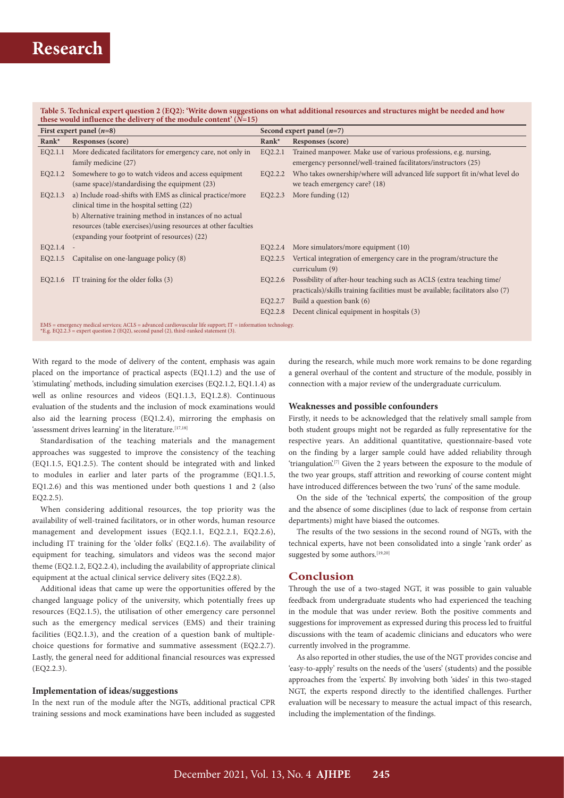| these would influence the delivery of the module content' $(N=15)$                                                                                                                                          |                                                                |                             |                                                                                 |  |  |
|-------------------------------------------------------------------------------------------------------------------------------------------------------------------------------------------------------------|----------------------------------------------------------------|-----------------------------|---------------------------------------------------------------------------------|--|--|
| First expert panel $(n=8)$                                                                                                                                                                                  |                                                                | Second expert panel $(n=7)$ |                                                                                 |  |  |
| Rank*                                                                                                                                                                                                       | Responses (score)                                              | $Rank^*$                    | Responses (score)                                                               |  |  |
| EQ2.1.1                                                                                                                                                                                                     | More dedicated facilitators for emergency care, not only in    | EQ2.2.1                     | Trained manpower. Make use of various professions, e.g. nursing,                |  |  |
|                                                                                                                                                                                                             | family medicine (27)                                           |                             | emergency personnel/well-trained facilitators/instructors (25)                  |  |  |
| EQ2.1.2                                                                                                                                                                                                     | Somewhere to go to watch videos and access equipment           | EQ2.2.2                     | Who takes ownership/where will advanced life support fit in/what level do       |  |  |
|                                                                                                                                                                                                             | (same space)/standardising the equipment (23)                  |                             | we teach emergency care? (18)                                                   |  |  |
| EQ2.1.3                                                                                                                                                                                                     | a) Include road-shifts with EMS as clinical practice/more      | EQ2.2.3                     | More funding $(12)$                                                             |  |  |
|                                                                                                                                                                                                             | clinical time in the hospital setting (22)                     |                             |                                                                                 |  |  |
|                                                                                                                                                                                                             | b) Alternative training method in instances of no actual       |                             |                                                                                 |  |  |
|                                                                                                                                                                                                             | resources (table exercises)/using resources at other faculties |                             |                                                                                 |  |  |
|                                                                                                                                                                                                             | (expanding your footprint of resources) (22)                   |                             |                                                                                 |  |  |
| EQ2.1.4                                                                                                                                                                                                     |                                                                | EQ2.2.4                     | More simulators/more equipment (10)                                             |  |  |
| EQ2.1.5                                                                                                                                                                                                     | Capitalise on one-language policy (8)                          | EQ2.2.5                     | Vertical integration of emergency care in the program/structure the             |  |  |
|                                                                                                                                                                                                             |                                                                |                             | curriculum $(9)$                                                                |  |  |
| EQ2.1.6                                                                                                                                                                                                     | IT training for the older folks (3)                            | EQ2.2.6                     | Possibility of after-hour teaching such as ACLS (extra teaching time/           |  |  |
|                                                                                                                                                                                                             |                                                                |                             | practicals)/skills training facilities must be available; facilitators also (7) |  |  |
|                                                                                                                                                                                                             |                                                                | EQ2.2.7                     | Build a question bank (6)                                                       |  |  |
|                                                                                                                                                                                                             |                                                                | EQ2.2.8                     | Decent clinical equipment in hospitals (3)                                      |  |  |
| $EMS$ = emergency medical services; $ACLS$ = advanced cardiovascular life support; $IT$ = information technology.<br>*E.g. EQ2.2.3 = expert question 2 (EQ2), second panel (2), third-ranked statement (3). |                                                                |                             |                                                                                 |  |  |

**Table 5. Technical expert question 2 (EQ2): 'Write down suggestions on what additional resources and structures might be needed and how** 

With regard to the mode of delivery of the content, emphasis was again placed on the importance of practical aspects (EQ1.1.2) and the use of 'stimulating' methods, including simulation exercises (EQ2.1.2, EQ1.1.4) as well as online resources and videos (EQ1.1.3, EQ1.2.8). Continuous evaluation of the students and the inclusion of mock examinations would also aid the learning process (EQ1.2.4), mirroring the emphasis on 'assessment drives learning' in the literature.  $^{[17,18]}$ 

Standardisation of the teaching materials and the management approaches was suggested to improve the consistency of the teaching (EQ1.1.5, EQ1.2.5). The content should be integrated with and linked to modules in earlier and later parts of the programme (EQ1.1.5, EQ1.2.6) and this was mentioned under both questions 1 and 2 (also EQ2.2.5).

When considering additional resources, the top priority was the availability of well-trained facilitators, or in other words, human resource management and development issues (EQ2.1.1, EQ2.2.1, EQ2.2.6), including IT training for the 'older folks' (EQ2.1.6). The availability of equipment for teaching, simulators and videos was the second major theme (EQ2.1.2, EQ2.2.4), including the availability of appropriate clinical equipment at the actual clinical service delivery sites (EQ2.2.8).

Additional ideas that came up were the opportunities offered by the changed language policy of the university, which potentially frees up resources (EQ2.1.5), the utilisation of other emergency care personnel such as the emergency medical services (EMS) and their training facilities (EQ2.1.3), and the creation of a question bank of multiplechoice questions for formative and summative assessment (EQ2.2.7). Lastly, the general need for additional financial resources was expressed (EQ2.2.3).

#### **Implementation of ideas/suggestions**

In the next run of the module after the NGTs, additional practical CPR training sessions and mock examinations have been included as suggested during the research, while much more work remains to be done regarding a general overhaul of the content and structure of the module, possibly in connection with a major review of the undergraduate curriculum.

#### **Weaknesses and possible confounders**

Firstly, it needs to be acknowledged that the relatively small sample from both student groups might not be regarded as fully representative for the respective years. An additional quantitative, questionnaire-based vote on the finding by a larger sample could have added reliability through 'triangulation'.<sup>[7]</sup> Given the 2 years between the exposure to the module of the two year groups, staff attrition and reworking of course content might have introduced differences between the two 'runs' of the same module.

On the side of the 'technical experts', the composition of the group and the absence of some disciplines (due to lack of response from certain departments) might have biased the outcomes.

The results of the two sessions in the second round of NGTs, with the technical experts, have not been consolidated into a single 'rank order' as suggested by some authors.<sup>[19,20]</sup>

## **Conclusion**

Through the use of a two-staged NGT, it was possible to gain valuable feedback from undergraduate students who had experienced the teaching in the module that was under review. Both the positive comments and suggestions for improvement as expressed during this process led to fruitful discussions with the team of academic clinicians and educators who were currently involved in the programme.

As also reported in other studies, the use of the NGT provides concise and 'easy-to-apply' results on the needs of the 'users' (students) and the possible approaches from the 'experts'. By involving both 'sides' in this two-staged NGT, the experts respond directly to the identified challenges. Further evaluation will be necessary to measure the actual impact of this research, including the implementation of the findings.